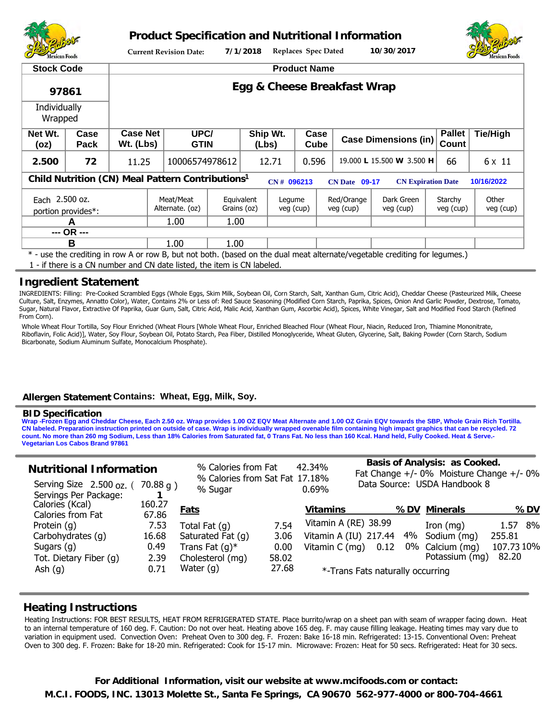

**Product Specification and Nutritional Information**



**Current Revision Date: 7/1/2018 Replaces Spec Dated 10/30/2017**

| <b>Stock Code</b>                                                                                                                             |                    | <b>Product Name</b>          |                                                                                                              |                           |                   |                     |              |                             |                                                                                                                            |                        |                    |  |  |
|-----------------------------------------------------------------------------------------------------------------------------------------------|--------------------|------------------------------|--------------------------------------------------------------------------------------------------------------|---------------------------|-------------------|---------------------|--------------|-----------------------------|----------------------------------------------------------------------------------------------------------------------------|------------------------|--------------------|--|--|
| 97861                                                                                                                                         |                    | Egg & Cheese Breakfast Wrap  |                                                                                                              |                           |                   |                     |              |                             |                                                                                                                            |                        |                    |  |  |
| Individually<br>Wrapped                                                                                                                       |                    |                              |                                                                                                              |                           |                   |                     |              |                             |                                                                                                                            |                        |                    |  |  |
| Net Wt.<br>(oz)                                                                                                                               | Case<br>Pack       | <b>Case Net</b><br>Wt. (Lbs) | UPC/<br><b>GTIN</b>                                                                                          |                           | Ship Wt.<br>(Lbs) |                     | Case<br>Cube | <b>Case Dimensions (in)</b> |                                                                                                                            | <b>Pallet</b><br>Count | <b>Tie/High</b>    |  |  |
| 2.500                                                                                                                                         | 72                 | 11.25                        | 10006574978612                                                                                               |                           | 12.71             |                     | 0.596        |                             | 19.000 L 15.500 W 3.500 H                                                                                                  |                        | 6 x 11             |  |  |
| Child Nutrition (CN) Meal Pattern Contributions <sup>1</sup><br>10/16/2022<br>CN# 096213<br><b>CN Expiration Date</b><br><b>CN Date 09-17</b> |                    |                              |                                                                                                              |                           |                   |                     |              |                             |                                                                                                                            |                        |                    |  |  |
| Each 2.500 oz.                                                                                                                                | portion provides*: |                              | Meat/Meat<br>Alternate. (oz)                                                                                 | Equivalent<br>Grains (oz) |                   | Legume<br>veg (cup) |              | Red/Orange<br>veg (cup)     | Dark Green<br>veg (cup)                                                                                                    | Starchy<br>veg (cup)   | Other<br>veg (cup) |  |  |
| A                                                                                                                                             |                    |                              | 1.00                                                                                                         | 1.00                      |                   |                     |              |                             |                                                                                                                            |                        |                    |  |  |
| --- OR ---                                                                                                                                    |                    |                              |                                                                                                              |                           |                   |                     |              |                             |                                                                                                                            |                        |                    |  |  |
| B                                                                                                                                             |                    |                              | 1.00                                                                                                         | 1.00                      |                   |                     |              |                             |                                                                                                                            |                        |                    |  |  |
|                                                                                                                                               |                    |                              | 4. Martin and the Company of Louis and California Robert Library to California the Company of California and |                           |                   |                     |              |                             | * - use the crediting in row A or row B, but not both. (based on the dual meat alternate/vegetable crediting for legumes.) |                        |                    |  |  |

1 - if there is a CN number and CN date listed, the item is CN labeled.

## **Ingredient Statement**

INGREDIENTS: Filling: Pre-Cooked Scrambled Eggs (Whole Eggs, Skim Milk, Soybean Oil, Corn Starch, Salt, Xanthan Gum, Citric Acid), Cheddar Cheese (Pasteurized Milk, Cheese Culture, Salt, Enzymes, Annatto Color), Water, Contains 2% or Less of: Red Sauce Seasoning (Modified Corn Starch, Paprika, Spices, Onion And Garlic Powder, Dextrose, Tomato, Sugar, Natural Flavor, Extractive Of Paprika, Guar Gum, Salt, Citric Acid, Malic Acid, Xanthan Gum, Ascorbic Acid), Spices, White Vinegar, Salt and Modified Food Starch (Refined From Corn).

Whole Wheat Flour Tortilla, Soy Flour Enriched (Wheat Flours [Whole Wheat Flour, Enriched Bleached Flour (Wheat Flour, Niacin, Reduced Iron, Thiamine Mononitrate, Riboflavin, Folic Acid)], Water, Soy Flour, Soybean Oil, Potato Starch, Pea Fiber, Distilled Monoglyceride, Wheat Gluten, Glycerine, Salt, Baking Powder (Corn Starch, Sodium Bicarbonate, Sodium Aluminum Sulfate, Monocalcium Phosphate).

## **Allergen Statement Contains: Wheat, Egg, Milk, Soy.**

#### **BID Specification**

**Wrap -Frozen Egg and Cheddar Cheese, Each 2.50 oz. Wrap provides 1.00 OZ EQV Meat Alternate and 1.00 OZ Grain EQV towards the SBP, Whole Grain Rich Tortilla. CN labeled. Preparation instruction printed on outside of case. Wrap is individually wrapped ovenable film containing high impact graphics that can be recycled. 72 count. No more than 260 mg Sodium, Less than 18% Calories from Saturated fat, 0 Trans Fat. No less than 160 Kcal. Hand held, Fully Cooked. Heat & Serve.- Vegetarian Los Cabos Brand 97861**

| <b>Nutritional Information</b><br>Serving Size 2.500 oz. (<br>Servings Per Package: | 70.88 g)        | % Sugar           | % Calories from Fat<br>% Calories from Sat Fat 17.18% |                       | <b>Basis of Analysis: as Cooked.</b><br>42.34%<br>Fat Change $+/-$ 0% Moisture Change $+/-$ 0%<br>Data Source: USDA Handbook 8<br>0.69% |     |                 |            |  |
|-------------------------------------------------------------------------------------|-----------------|-------------------|-------------------------------------------------------|-----------------------|-----------------------------------------------------------------------------------------------------------------------------------------|-----|-----------------|------------|--|
| Calories (Kcal)<br>Calories from Fat                                                | 160.27<br>67.86 | <b>Fats</b>       |                                                       | <b>Vitamins</b>       |                                                                                                                                         | %DV | <u>Minerals</u> | <b>%DV</b> |  |
| Protein (q)                                                                         | 7.53            | Total Fat $(q)$   | 7.54                                                  | Vitamin A (RE) 38.99  |                                                                                                                                         |     | Iron $(mg)$     | 1.57<br>8% |  |
| Carbohydrates (q)                                                                   | 16.68           | Saturated Fat (q) | 3.06                                                  | Vitamin A (IU) 217.44 |                                                                                                                                         | 4%  | Sodium (mg)     | 255.81     |  |
| Sugars $(g)$                                                                        | 0.49            | Trans Fat $(q)^*$ | 0.00                                                  | Vitamin C (mg)        | 0.12                                                                                                                                    | 0%  | Calcium (mg)    | 107.73 10% |  |
| Tot. Dietary Fiber (q)                                                              | 2.39            | Cholesterol (mq)  | 58.02                                                 |                       |                                                                                                                                         |     | Potassium (mg)  | 82.20      |  |
| Ash $(g)$                                                                           | 0.71            | Water $(q)$       | 27.68                                                 |                       | *-Trans Fats naturally occurring                                                                                                        |     |                 |            |  |

## **Heating Instructions**

Heating Instructions: FOR BEST RESULTS, HEAT FROM REFRIGERATED STATE. Place burrito/wrap on a sheet pan with seam of wrapper facing down. Heat to an internal temperature of 160 deg. F. Caution: Do not over heat. Heating above 165 deg. F. may cause filling leakage. Heating times may vary due to variation in equipment used. Convection Oven: Preheat Oven to 300 deg. F. Frozen: Bake 16-18 min. Refrigerated: 13-15. Conventional Oven: Preheat Oven to 300 deg. F. Frozen: Bake for 18-20 min. Refrigerated: Cook for 15-17 min. Microwave: Frozen: Heat for 50 secs. Refrigerated: Heat for 30 secs.

**M.C.I. FOODS, INC. 13013 Molette St., Santa Fe Springs, CA 90670 562-977-4000 or 800-704-4661 For Additional Information, visit our website at www.mcifoods.com or contact:**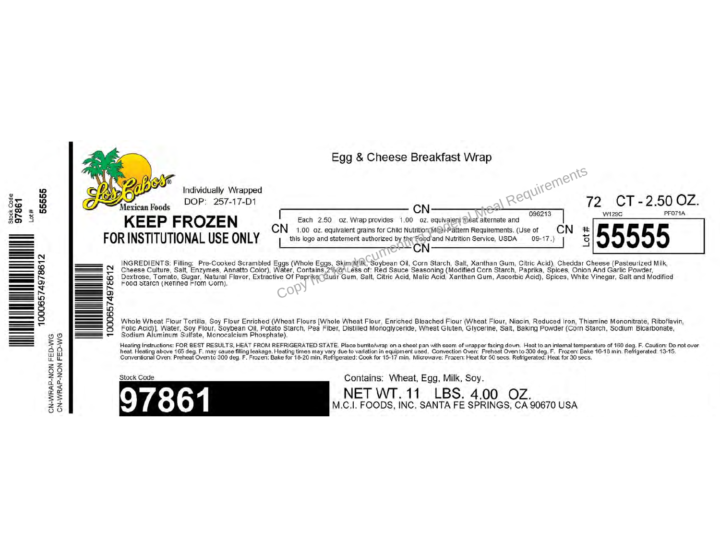

っ

5555

Stock Code<br>97861<br>Lot #

 $\begin{tabular}{c} \hline \hline \multicolumn{3}{c}{\textbf{||}} {\textbf{||}} {\textbf{||}} {\textbf{||}} {\textbf{||}} {\textbf{||}} {\textbf{||}} {\textbf{||}} {\textbf{||}} {\textbf{||}} {\textbf{||}} {\textbf{||}} {\textbf{||}} {\textbf{||}} {\textbf{||}} {\textbf{||}} {\textbf{||}} {\textbf{||}} {\textbf{||}} {\textbf{||}} {\textbf{||}} {\textbf{||}} {\textbf{||}} {\textbf{||}} {\textbf{||}} {\textbf{||}} {\textbf{||}} {\textbf{||}} {\textbf{||}} {\textbf{||}} {\textbf{||}} {\textbf{||}} {\textbf{||$ 

FED-WG<br>FED-WG

CN-WRAP-NON F

# Egg & Cheese Breakfast Wrap



INGREDIENTS: Filling: Pre-Cooked Scrambled Eggs (Whole Eggs, Skim Mul, Soybean Oil, Corn Starch, Salt, Xanthan Gum, Citric Acid), Cheddar Cheese (Pasteurized Milk,<br>Cheese Culture, Salt, Enzymes, Annatto Color), Water, Cont

Whole Wheat Flour Tortilla, Soy Flour Enriched (Wheat Flours [Whole Wheat Flour, Enriched Bleached Flour (Wheat Flour, Niacin, Reduced Iron, Thiamine Mononitrate, Riboflavin, Folic Acid)], Water, Soy Flour, Soybean Oil, Potato Starch, Pea Fiber, Distilled Monoglyceride, Wheat Gluten, Glycerine, Salt, Baking Powder (Corn Starch, Sodium Bicarbonate, Sodium Aluminum Sulfate, Monocalcium Phosphate).

Heating Instructions: FOR BEST RESULTS, HEAT FROM REFRIGERATED STATE. Place burrito/wrap on a sheet pan with seam of wrapper facing down. Heat to an internal temperature of 160 deg. F. Caution: Do not over<br>heat. Heating ab

**Stock Code** 



Contains: Wheat, Egg, Milk, Soy.

NET WT. 11 LBS. 4.00 OZ. M.C.I. FOODS, INC. SANTA FE SPRINGS, CA 90670 USA